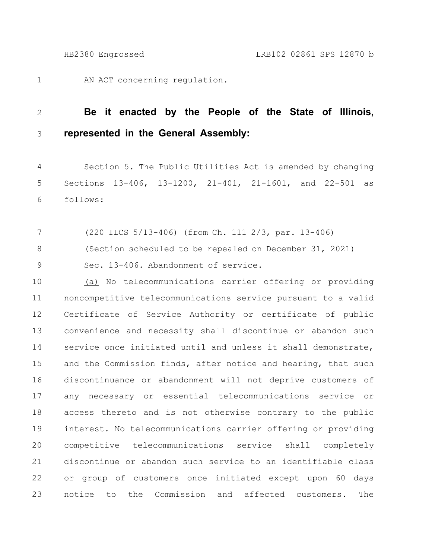AN ACT concerning regulation. 1

## **Be it enacted by the People of the State of Illinois, represented in the General Assembly:** 2 3

Section 5. The Public Utilities Act is amended by changing Sections 13-406, 13-1200, 21-401, 21-1601, and 22-501 as follows: 4 5 6

(220 ILCS 5/13-406) (from Ch. 111 2/3, par. 13-406) (Section scheduled to be repealed on December 31, 2021) Sec. 13-406. Abandonment of service. 7 8 9

(a) No telecommunications carrier offering or providing noncompetitive telecommunications service pursuant to a valid Certificate of Service Authority or certificate of public convenience and necessity shall discontinue or abandon such service once initiated until and unless it shall demonstrate, and the Commission finds, after notice and hearing, that such discontinuance or abandonment will not deprive customers of any necessary or essential telecommunications service or access thereto and is not otherwise contrary to the public interest. No telecommunications carrier offering or providing competitive telecommunications service shall completely discontinue or abandon such service to an identifiable class or group of customers once initiated except upon 60 days notice to the Commission and affected customers. The 10 11 12 13 14 15 16 17 18 19 20 21 22 23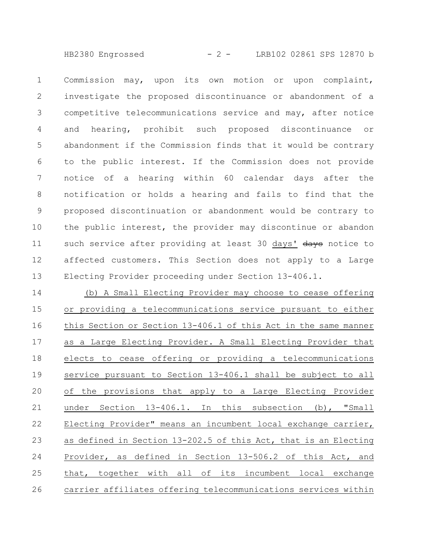HB2380 Engrossed - 2 - LRB102 02861 SPS 12870 b

Commission may, upon its own motion or upon complaint, investigate the proposed discontinuance or abandonment of a competitive telecommunications service and may, after notice and hearing, prohibit such proposed discontinuance or abandonment if the Commission finds that it would be contrary to the public interest. If the Commission does not provide notice of a hearing within 60 calendar days after the notification or holds a hearing and fails to find that the proposed discontinuation or abandonment would be contrary to the public interest, the provider may discontinue or abandon such service after providing at least 30 days' days notice to affected customers. This Section does not apply to a Large Electing Provider proceeding under Section 13-406.1. 1 2 3 4 5 6 7 8 9 10 11 12 13

(b) A Small Electing Provider may choose to cease offering or providing a telecommunications service pursuant to either this Section or Section 13-406.1 of this Act in the same manner as a Large Electing Provider. A Small Electing Provider that elects to cease offering or providing a telecommunications service pursuant to Section 13-406.1 shall be subject to all of the provisions that apply to a Large Electing Provider under Section 13-406.1. In this subsection (b), "Small Electing Provider" means an incumbent local exchange carrier, as defined in Section 13-202.5 of this Act, that is an Electing Provider, as defined in Section 13-506.2 of this Act, and that, together with all of its incumbent local exchange carrier affiliates offering telecommunications services within 14 15 16 17 18 19 20 21 22 23 24 25 26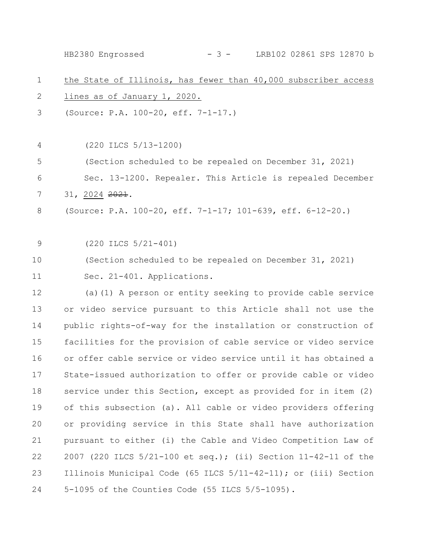the State of Illinois, has fewer than 40,000 subscriber access lines as of January 1, 2020. (Source: P.A. 100-20, eff. 7-1-17.) (220 ILCS 5/13-1200) (Section scheduled to be repealed on December 31, 2021) Sec. 13-1200. Repealer. This Article is repealed December 31, 2024 2021. (Source: P.A. 100-20, eff. 7-1-17; 101-639, eff. 6-12-20.) (220 ILCS 5/21-401) (Section scheduled to be repealed on December 31, 2021) Sec. 21-401. Applications. (a)(1) A person or entity seeking to provide cable service or video service pursuant to this Article shall not use the public rights-of-way for the installation or construction of facilities for the provision of cable service or video service or offer cable service or video service until it has obtained a State-issued authorization to offer or provide cable or video service under this Section, except as provided for in item (2) of this subsection (a). All cable or video providers offering or providing service in this State shall have authorization pursuant to either (i) the Cable and Video Competition Law of 2007 (220 ILCS 5/21-100 et seq.); (ii) Section 11-42-11 of the Illinois Municipal Code (65 ILCS 5/11-42-11); or (iii) Section 5-1095 of the Counties Code (55 ILCS 5/5-1095). 1 2 3 4 5 6 7 8 9 10 11 12 13 14 15 16 17 18 19 20 21 22 23 24 HB2380 Engrossed - 3 - LRB102 02861 SPS 12870 b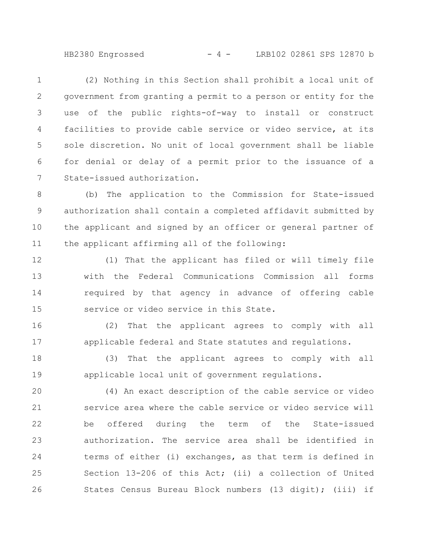HB2380 Engrossed - 4 - LRB102 02861 SPS 12870 b

(2) Nothing in this Section shall prohibit a local unit of government from granting a permit to a person or entity for the use of the public rights-of-way to install or construct facilities to provide cable service or video service, at its sole discretion. No unit of local government shall be liable for denial or delay of a permit prior to the issuance of a State-issued authorization. 1 2 3 4 5 6 7

(b) The application to the Commission for State-issued authorization shall contain a completed affidavit submitted by the applicant and signed by an officer or general partner of the applicant affirming all of the following: 8 9 10 11

(1) That the applicant has filed or will timely file with the Federal Communications Commission all forms required by that agency in advance of offering cable service or video service in this State. 12 13 14 15

(2) That the applicant agrees to comply with all applicable federal and State statutes and regulations. 16 17

(3) That the applicant agrees to comply with all applicable local unit of government regulations. 18 19

(4) An exact description of the cable service or video service area where the cable service or video service will be offered during the term of the State-issued authorization. The service area shall be identified in terms of either (i) exchanges, as that term is defined in Section 13-206 of this Act; (ii) a collection of United States Census Bureau Block numbers (13 digit); (iii) if 20 21 22 23 24 25 26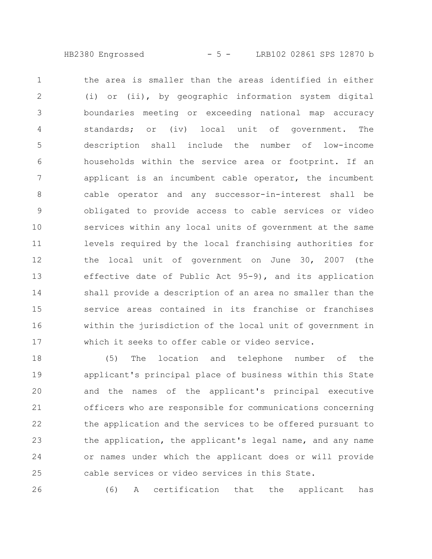HB2380 Engrossed - 5 - LRB102 02861 SPS 12870 b

the area is smaller than the areas identified in either (i) or (ii), by geographic information system digital boundaries meeting or exceeding national map accuracy standards; or (iv) local unit of government. The description shall include the number of low-income households within the service area or footprint. If an applicant is an incumbent cable operator, the incumbent cable operator and any successor-in-interest shall be obligated to provide access to cable services or video services within any local units of government at the same levels required by the local franchising authorities for the local unit of government on June 30, 2007 (the effective date of Public Act 95-9), and its application shall provide a description of an area no smaller than the service areas contained in its franchise or franchises within the jurisdiction of the local unit of government in which it seeks to offer cable or video service. 1 2 3 4 5 6 7 8 9 10 11 12 13 14 15 16 17

(5) The location and telephone number of the applicant's principal place of business within this State and the names of the applicant's principal executive officers who are responsible for communications concerning the application and the services to be offered pursuant to the application, the applicant's legal name, and any name or names under which the applicant does or will provide cable services or video services in this State. 18 19 20 21 22 23 24 25

26

(6) A certification that the applicant has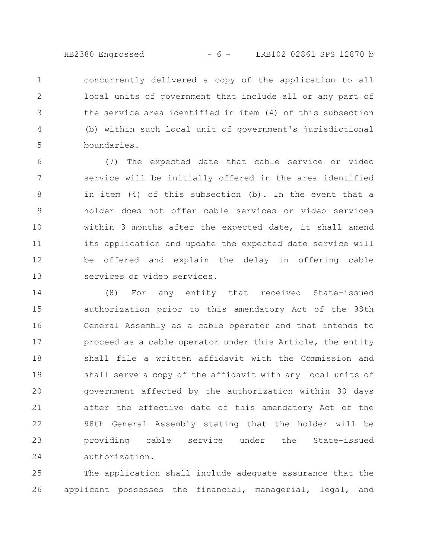HB2380 Engrossed - 6 - LRB102 02861 SPS 12870 b

concurrently delivered a copy of the application to all local units of government that include all or any part of the service area identified in item (4) of this subsection (b) within such local unit of government's jurisdictional boundaries. 1 2 3 4 5

(7) The expected date that cable service or video service will be initially offered in the area identified in item (4) of this subsection (b). In the event that a holder does not offer cable services or video services within 3 months after the expected date, it shall amend its application and update the expected date service will be offered and explain the delay in offering cable services or video services. 6 7 8 9 10 11 12 13

(8) For any entity that received State-issued authorization prior to this amendatory Act of the 98th General Assembly as a cable operator and that intends to proceed as a cable operator under this Article, the entity shall file a written affidavit with the Commission and shall serve a copy of the affidavit with any local units of government affected by the authorization within 30 days after the effective date of this amendatory Act of the 98th General Assembly stating that the holder will be providing cable service under the State-issued authorization. 14 15 16 17 18 19 20 21 22 23 24

The application shall include adequate assurance that the applicant possesses the financial, managerial, legal, and 25 26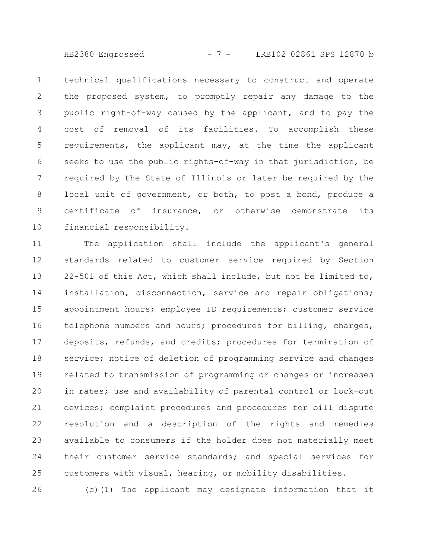HB2380 Engrossed - 7 - LRB102 02861 SPS 12870 b

technical qualifications necessary to construct and operate the proposed system, to promptly repair any damage to the public right-of-way caused by the applicant, and to pay the cost of removal of its facilities. To accomplish these requirements, the applicant may, at the time the applicant seeks to use the public rights-of-way in that jurisdiction, be required by the State of Illinois or later be required by the local unit of government, or both, to post a bond, produce a certificate of insurance, or otherwise demonstrate its financial responsibility. 1 2 3 4 5 6 7 8 9 10

The application shall include the applicant's general standards related to customer service required by Section 22-501 of this Act, which shall include, but not be limited to, installation, disconnection, service and repair obligations; appointment hours; employee ID requirements; customer service telephone numbers and hours; procedures for billing, charges, deposits, refunds, and credits; procedures for termination of service; notice of deletion of programming service and changes related to transmission of programming or changes or increases in rates; use and availability of parental control or lock-out devices; complaint procedures and procedures for bill dispute resolution and a description of the rights and remedies available to consumers if the holder does not materially meet their customer service standards; and special services for customers with visual, hearing, or mobility disabilities. 11 12 13 14 15 16 17 18 19 20 21 22 23 24 25

(c)(1) The applicant may designate information that it

26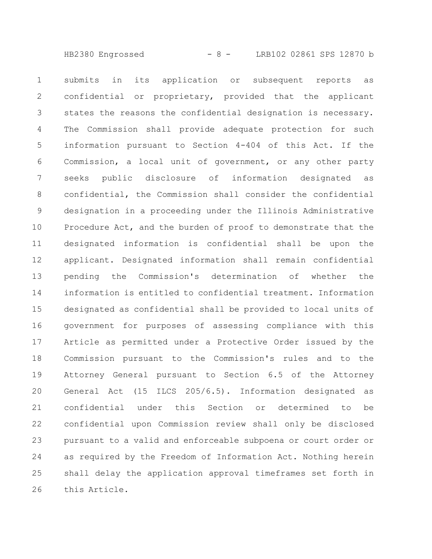HB2380 Engrossed - 8 - LRB102 02861 SPS 12870 b

submits in its application or subsequent reports as confidential or proprietary, provided that the applicant states the reasons the confidential designation is necessary. The Commission shall provide adequate protection for such information pursuant to Section 4-404 of this Act. If the Commission, a local unit of government, or any other party seeks public disclosure of information designated as confidential, the Commission shall consider the confidential designation in a proceeding under the Illinois Administrative Procedure Act, and the burden of proof to demonstrate that the designated information is confidential shall be upon the applicant. Designated information shall remain confidential pending the Commission's determination of whether the information is entitled to confidential treatment. Information designated as confidential shall be provided to local units of government for purposes of assessing compliance with this Article as permitted under a Protective Order issued by the Commission pursuant to the Commission's rules and to the Attorney General pursuant to Section 6.5 of the Attorney General Act (15 ILCS 205/6.5). Information designated as confidential under this Section or determined to be confidential upon Commission review shall only be disclosed pursuant to a valid and enforceable subpoena or court order or as required by the Freedom of Information Act. Nothing herein shall delay the application approval timeframes set forth in this Article. 1 2 3 4 5 6 7 8 9 10 11 12 13 14 15 16 17 18 19 20 21 22 23 24 25 26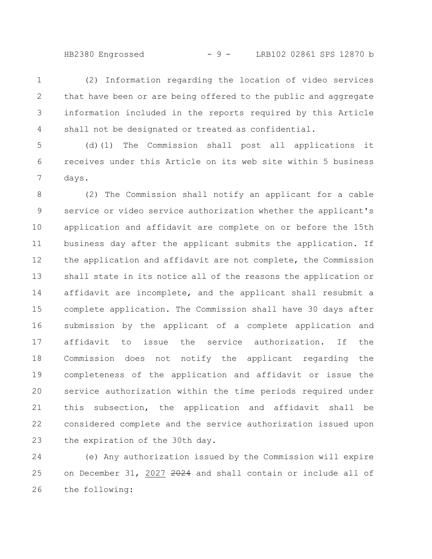HB2380 Engrossed - 9 - LRB102 02861 SPS 12870 b

(2) Information regarding the location of video services that have been or are being offered to the public and aggregate information included in the reports required by this Article shall not be designated or treated as confidential. 1 2 3 4

(d)(1) The Commission shall post all applications it receives under this Article on its web site within 5 business days. 5 6 7

(2) The Commission shall notify an applicant for a cable service or video service authorization whether the applicant's application and affidavit are complete on or before the 15th business day after the applicant submits the application. If the application and affidavit are not complete, the Commission shall state in its notice all of the reasons the application or affidavit are incomplete, and the applicant shall resubmit a complete application. The Commission shall have 30 days after submission by the applicant of a complete application and affidavit to issue the service authorization. If the Commission does not notify the applicant regarding the completeness of the application and affidavit or issue the service authorization within the time periods required under this subsection, the application and affidavit shall be considered complete and the service authorization issued upon the expiration of the 30th day. 8 9 10 11 12 13 14 15 16 17 18 19 20 21 22 23

(e) Any authorization issued by the Commission will expire on December 31, 2027 2024 and shall contain or include all of the following: 24 25 26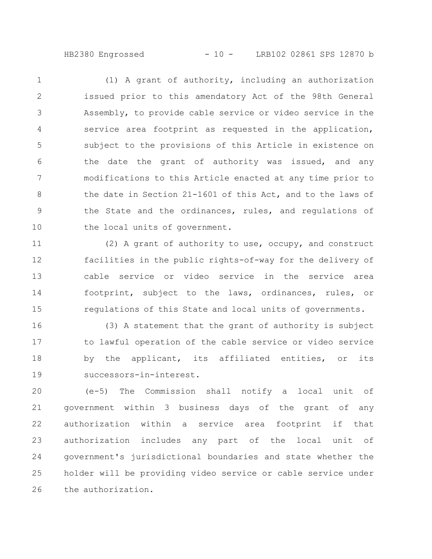HB2380 Engrossed - 10 - LRB102 02861 SPS 12870 b

(1) A grant of authority, including an authorization issued prior to this amendatory Act of the 98th General Assembly, to provide cable service or video service in the service area footprint as requested in the application, subject to the provisions of this Article in existence on the date the grant of authority was issued, and any modifications to this Article enacted at any time prior to the date in Section 21-1601 of this Act, and to the laws of the State and the ordinances, rules, and regulations of the local units of government. 1 2 3 4 5 6 7 8 9 10

(2) A grant of authority to use, occupy, and construct facilities in the public rights-of-way for the delivery of cable service or video service in the service area footprint, subject to the laws, ordinances, rules, or regulations of this State and local units of governments. 11 12 13 14 15

(3) A statement that the grant of authority is subject to lawful operation of the cable service or video service by the applicant, its affiliated entities, or its successors-in-interest. 16 17 18 19

(e-5) The Commission shall notify a local unit of government within 3 business days of the grant of any authorization within a service area footprint if that authorization includes any part of the local unit of government's jurisdictional boundaries and state whether the holder will be providing video service or cable service under the authorization. 20 21 22 23 24 25 26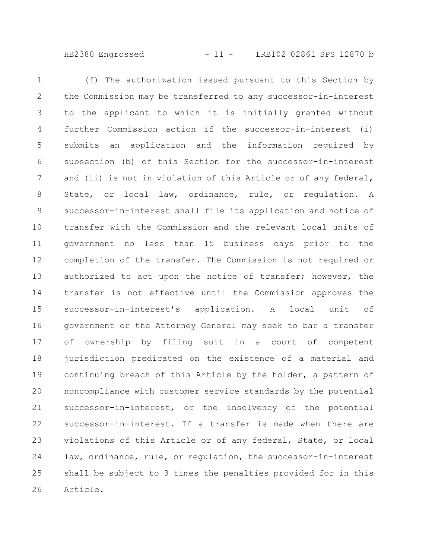HB2380 Engrossed - 11 - LRB102 02861 SPS 12870 b

(f) The authorization issued pursuant to this Section by the Commission may be transferred to any successor-in-interest to the applicant to which it is initially granted without further Commission action if the successor-in-interest (i) submits an application and the information required by subsection (b) of this Section for the successor-in-interest and (ii) is not in violation of this Article or of any federal, State, or local law, ordinance, rule, or regulation. A successor-in-interest shall file its application and notice of transfer with the Commission and the relevant local units of government no less than 15 business days prior to the completion of the transfer. The Commission is not required or authorized to act upon the notice of transfer; however, the transfer is not effective until the Commission approves the successor-in-interest's application. A local unit of government or the Attorney General may seek to bar a transfer of ownership by filing suit in a court of competent jurisdiction predicated on the existence of a material and continuing breach of this Article by the holder, a pattern of noncompliance with customer service standards by the potential successor-in-interest, or the insolvency of the potential successor-in-interest. If a transfer is made when there are violations of this Article or of any federal, State, or local law, ordinance, rule, or regulation, the successor-in-interest shall be subject to 3 times the penalties provided for in this Article. 1 2 3 4 5 6 7 8 9 10 11 12 13 14 15 16 17 18 19 20 21 22 23 24 25 26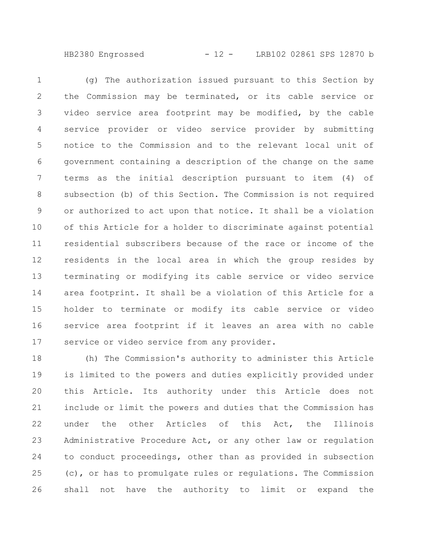HB2380 Engrossed - 12 - LRB102 02861 SPS 12870 b

(g) The authorization issued pursuant to this Section by the Commission may be terminated, or its cable service or video service area footprint may be modified, by the cable service provider or video service provider by submitting notice to the Commission and to the relevant local unit of government containing a description of the change on the same terms as the initial description pursuant to item (4) of subsection (b) of this Section. The Commission is not required or authorized to act upon that notice. It shall be a violation of this Article for a holder to discriminate against potential residential subscribers because of the race or income of the residents in the local area in which the group resides by terminating or modifying its cable service or video service area footprint. It shall be a violation of this Article for a holder to terminate or modify its cable service or video service area footprint if it leaves an area with no cable service or video service from any provider. 1 2 3 4 5 6 7 8 9 10 11 12 13 14 15 16 17

(h) The Commission's authority to administer this Article is limited to the powers and duties explicitly provided under this Article. Its authority under this Article does not include or limit the powers and duties that the Commission has under the other Articles of this Act, the Illinois Administrative Procedure Act, or any other law or regulation to conduct proceedings, other than as provided in subsection (c), or has to promulgate rules or regulations. The Commission shall not have the authority to limit or expand the 18 19 20 21 22 23 24 25 26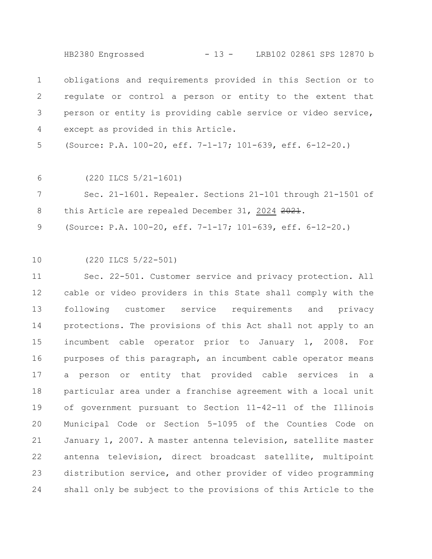HB2380 Engrossed - 13 - LRB102 02861 SPS 12870 b

obligations and requirements provided in this Section or to regulate or control a person or entity to the extent that person or entity is providing cable service or video service, except as provided in this Article. 1 2 3 4

(Source: P.A. 100-20, eff. 7-1-17; 101-639, eff. 6-12-20.) 5

(220 ILCS 5/21-1601) 6

Sec. 21-1601. Repealer. Sections 21-101 through 21-1501 of this Article are repealed December 31, 2024 2021. 7 8

(Source: P.A. 100-20, eff. 7-1-17; 101-639, eff. 6-12-20.) 9

(220 ILCS 5/22-501) 10

Sec. 22-501. Customer service and privacy protection. All cable or video providers in this State shall comply with the following customer service requirements and privacy protections. The provisions of this Act shall not apply to an incumbent cable operator prior to January 1, 2008. For purposes of this paragraph, an incumbent cable operator means a person or entity that provided cable services in a particular area under a franchise agreement with a local unit of government pursuant to Section 11-42-11 of the Illinois Municipal Code or Section 5-1095 of the Counties Code on January 1, 2007. A master antenna television, satellite master antenna television, direct broadcast satellite, multipoint distribution service, and other provider of video programming shall only be subject to the provisions of this Article to the 11 12 13 14 15 16 17 18 19 20 21 22 23 24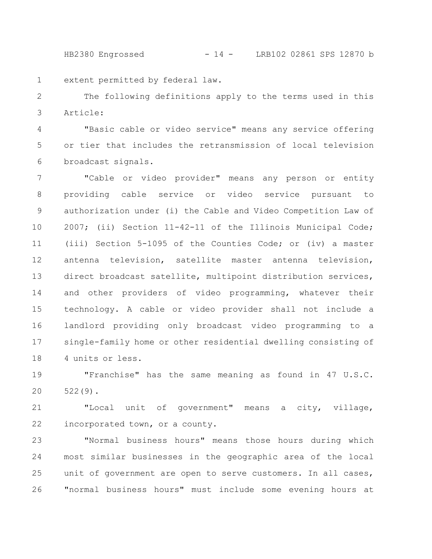HB2380 Engrossed - 14 - LRB102 02861 SPS 12870 b

extent permitted by federal law. 1

The following definitions apply to the terms used in this Article: 2 3

"Basic cable or video service" means any service offering or tier that includes the retransmission of local television broadcast signals. 4 5 6

"Cable or video provider" means any person or entity providing cable service or video service pursuant to authorization under (i) the Cable and Video Competition Law of 2007; (ii) Section 11-42-11 of the Illinois Municipal Code; (iii) Section 5-1095 of the Counties Code; or (iv) a master antenna television, satellite master antenna television, direct broadcast satellite, multipoint distribution services, and other providers of video programming, whatever their technology. A cable or video provider shall not include a landlord providing only broadcast video programming to a single-family home or other residential dwelling consisting of 4 units or less. 7 8 9 10 11 12 13 14 15 16 17 18

"Franchise" has the same meaning as found in 47 U.S.C. 522(9). 19 20

"Local unit of government" means a city, village, incorporated town, or a county. 21 22

"Normal business hours" means those hours during which most similar businesses in the geographic area of the local unit of government are open to serve customers. In all cases, "normal business hours" must include some evening hours at 23 24 25 26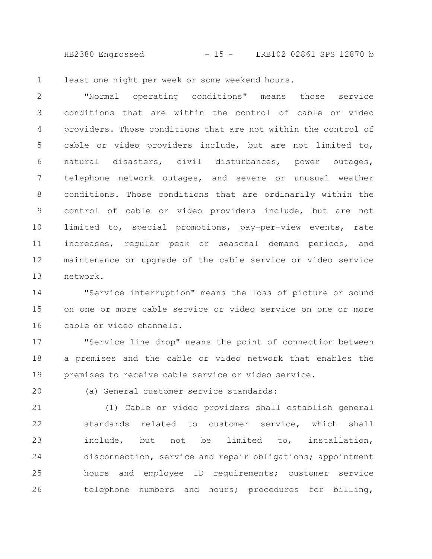HB2380 Engrossed - 15 - LRB102 02861 SPS 12870 b

least one night per week or some weekend hours. 1

"Normal operating conditions" means those service conditions that are within the control of cable or video providers. Those conditions that are not within the control of cable or video providers include, but are not limited to, natural disasters, civil disturbances, power outages, telephone network outages, and severe or unusual weather conditions. Those conditions that are ordinarily within the control of cable or video providers include, but are not limited to, special promotions, pay-per-view events, rate increases, regular peak or seasonal demand periods, and maintenance or upgrade of the cable service or video service network. 2 3 4 5 6 7 8 9 10 11 12 13

"Service interruption" means the loss of picture or sound on one or more cable service or video service on one or more cable or video channels. 14 15 16

"Service line drop" means the point of connection between a premises and the cable or video network that enables the premises to receive cable service or video service. 17 18 19

20

(a) General customer service standards:

(1) Cable or video providers shall establish general standards related to customer service, which shall include, but not be limited to, installation, disconnection, service and repair obligations; appointment hours and employee ID requirements; customer service telephone numbers and hours; procedures for billing, 21 22 23 24 25 26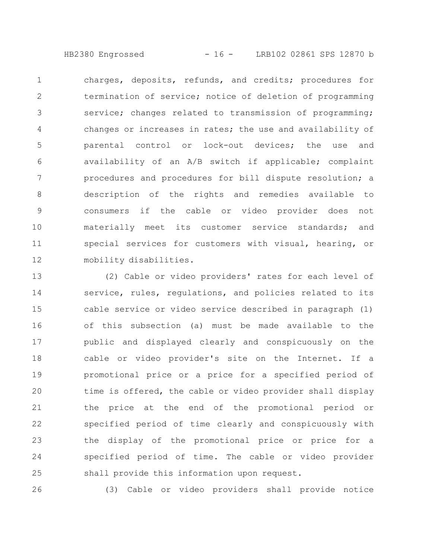HB2380 Engrossed - 16 - LRB102 02861 SPS 12870 b

charges, deposits, refunds, and credits; procedures for termination of service; notice of deletion of programming service; changes related to transmission of programming; changes or increases in rates; the use and availability of parental control or lock-out devices; the use and availability of an A/B switch if applicable; complaint procedures and procedures for bill dispute resolution; a description of the rights and remedies available to consumers if the cable or video provider does not materially meet its customer service standards; and special services for customers with visual, hearing, or mobility disabilities. 1 2 3 4 5 6 7 8 9 10 11 12

(2) Cable or video providers' rates for each level of service, rules, regulations, and policies related to its cable service or video service described in paragraph (1) of this subsection (a) must be made available to the public and displayed clearly and conspicuously on the cable or video provider's site on the Internet. If a promotional price or a price for a specified period of time is offered, the cable or video provider shall display the price at the end of the promotional period or specified period of time clearly and conspicuously with the display of the promotional price or price for a specified period of time. The cable or video provider shall provide this information upon request. 13 14 15 16 17 18 19 20 21 22 23 24 25

26

(3) Cable or video providers shall provide notice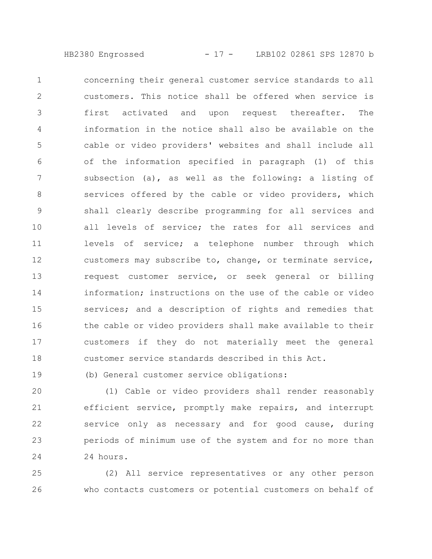HB2380 Engrossed - 17 - LRB102 02861 SPS 12870 b

concerning their general customer service standards to all customers. This notice shall be offered when service is first activated and upon request thereafter. The information in the notice shall also be available on the cable or video providers' websites and shall include all of the information specified in paragraph (1) of this subsection (a), as well as the following: a listing of services offered by the cable or video providers, which shall clearly describe programming for all services and all levels of service; the rates for all services and levels of service; a telephone number through which customers may subscribe to, change, or terminate service, request customer service, or seek general or billing information; instructions on the use of the cable or video services; and a description of rights and remedies that the cable or video providers shall make available to their customers if they do not materially meet the general customer service standards described in this Act. 1 2 3 4 5 6 7 8 9 10 11 12 13 14 15 16 17 18

(b) General customer service obligations: 19

(1) Cable or video providers shall render reasonably efficient service, promptly make repairs, and interrupt service only as necessary and for good cause, during periods of minimum use of the system and for no more than 24 hours. 20 21 22 23 24

(2) All service representatives or any other person who contacts customers or potential customers on behalf of 25 26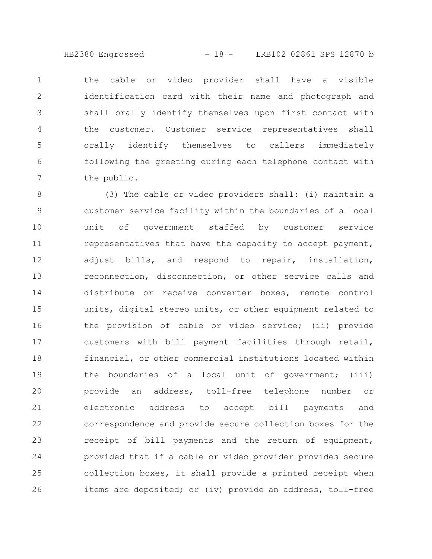HB2380 Engrossed - 18 - LRB102 02861 SPS 12870 b

the cable or video provider shall have a visible identification card with their name and photograph and shall orally identify themselves upon first contact with the customer. Customer service representatives shall orally identify themselves to callers immediately following the greeting during each telephone contact with the public. 1 2 3 4 5 6 7

(3) The cable or video providers shall: (i) maintain a customer service facility within the boundaries of a local unit of government staffed by customer service representatives that have the capacity to accept payment, adjust bills, and respond to repair, installation, reconnection, disconnection, or other service calls and distribute or receive converter boxes, remote control units, digital stereo units, or other equipment related to the provision of cable or video service; (ii) provide customers with bill payment facilities through retail, financial, or other commercial institutions located within the boundaries of a local unit of government; (iii) provide an address, toll-free telephone number or electronic address to accept bill payments and correspondence and provide secure collection boxes for the receipt of bill payments and the return of equipment, provided that if a cable or video provider provides secure collection boxes, it shall provide a printed receipt when items are deposited; or (iv) provide an address, toll-free 8 9 10 11 12 13 14 15 16 17 18 19 20 21 22 23 24 25 26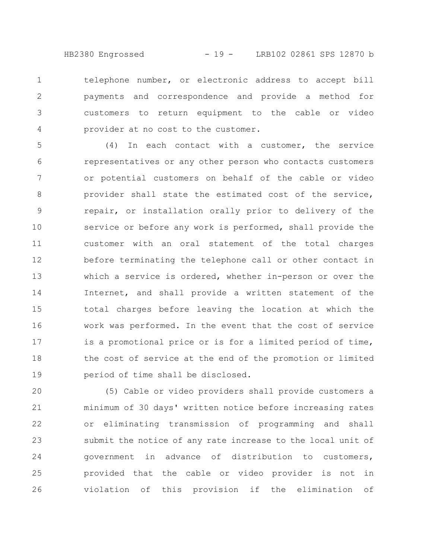HB2380 Engrossed - 19 - LRB102 02861 SPS 12870 b

telephone number, or electronic address to accept bill payments and correspondence and provide a method for customers to return equipment to the cable or video provider at no cost to the customer. 1 2 3 4

(4) In each contact with a customer, the service representatives or any other person who contacts customers or potential customers on behalf of the cable or video provider shall state the estimated cost of the service, repair, or installation orally prior to delivery of the service or before any work is performed, shall provide the customer with an oral statement of the total charges before terminating the telephone call or other contact in which a service is ordered, whether in-person or over the Internet, and shall provide a written statement of the total charges before leaving the location at which the work was performed. In the event that the cost of service is a promotional price or is for a limited period of time, the cost of service at the end of the promotion or limited period of time shall be disclosed. 5 6 7 8 9 10 11 12 13 14 15 16 17 18 19

(5) Cable or video providers shall provide customers a minimum of 30 days' written notice before increasing rates or eliminating transmission of programming and shall submit the notice of any rate increase to the local unit of government in advance of distribution to customers, provided that the cable or video provider is not in violation of this provision if the elimination of 20 21 22 23 24 25 26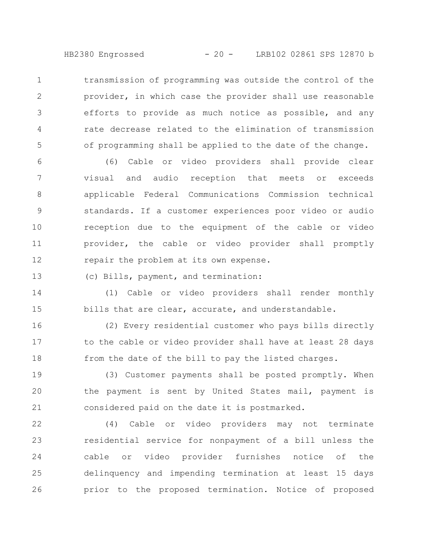HB2380 Engrossed - 20 - LRB102 02861 SPS 12870 b

transmission of programming was outside the control of the provider, in which case the provider shall use reasonable efforts to provide as much notice as possible, and any rate decrease related to the elimination of transmission of programming shall be applied to the date of the change. 1 2 3 4 5

(6) Cable or video providers shall provide clear visual and audio reception that meets or exceeds applicable Federal Communications Commission technical standards. If a customer experiences poor video or audio reception due to the equipment of the cable or video provider, the cable or video provider shall promptly repair the problem at its own expense. 6 7 8 9 10 11 12

(c) Bills, payment, and termination: 13

(1) Cable or video providers shall render monthly bills that are clear, accurate, and understandable. 14 15

(2) Every residential customer who pays bills directly to the cable or video provider shall have at least 28 days from the date of the bill to pay the listed charges. 16 17 18

(3) Customer payments shall be posted promptly. When the payment is sent by United States mail, payment is considered paid on the date it is postmarked. 19 20 21

(4) Cable or video providers may not terminate residential service for nonpayment of a bill unless the cable or video provider furnishes notice of the delinquency and impending termination at least 15 days prior to the proposed termination. Notice of proposed 22 23 24 25 26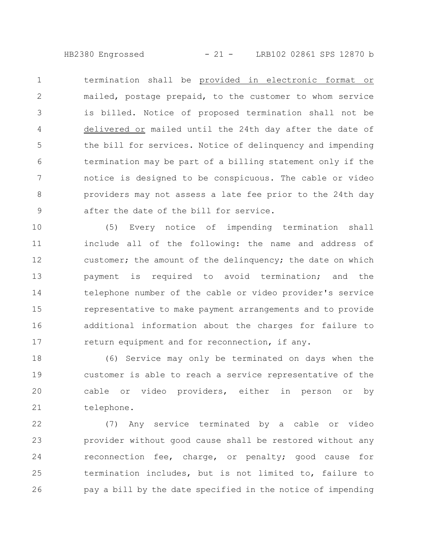HB2380 Engrossed - 21 - LRB102 02861 SPS 12870 b

termination shall be provided in electronic format or mailed, postage prepaid, to the customer to whom service is billed. Notice of proposed termination shall not be delivered or mailed until the 24th day after the date of the bill for services. Notice of delinquency and impending termination may be part of a billing statement only if the notice is designed to be conspicuous. The cable or video providers may not assess a late fee prior to the 24th day after the date of the bill for service. 1 2 3 4 5 6 7 8 9

(5) Every notice of impending termination shall include all of the following: the name and address of customer; the amount of the delinquency; the date on which payment is required to avoid termination; and the telephone number of the cable or video provider's service representative to make payment arrangements and to provide additional information about the charges for failure to return equipment and for reconnection, if any. 10 11 12 13 14 15 16 17

(6) Service may only be terminated on days when the customer is able to reach a service representative of the cable or video providers, either in person or by telephone. 18 19 20 21

(7) Any service terminated by a cable or video provider without good cause shall be restored without any reconnection fee, charge, or penalty; good cause for termination includes, but is not limited to, failure to pay a bill by the date specified in the notice of impending 22 23 24 25 26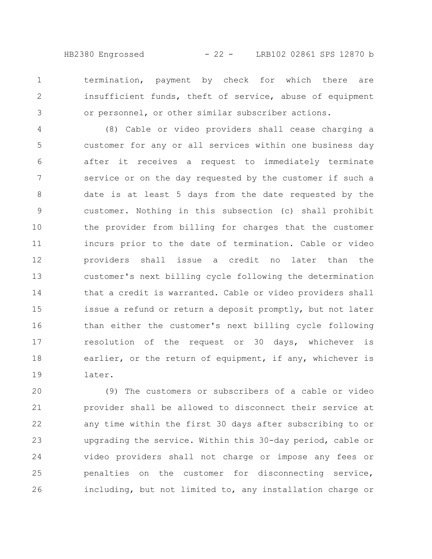HB2380 Engrossed - 22 - LRB102 02861 SPS 12870 b

termination, payment by check for which there are insufficient funds, theft of service, abuse of equipment or personnel, or other similar subscriber actions. 1 2 3

(8) Cable or video providers shall cease charging a customer for any or all services within one business day after it receives a request to immediately terminate service or on the day requested by the customer if such a date is at least 5 days from the date requested by the customer. Nothing in this subsection (c) shall prohibit the provider from billing for charges that the customer incurs prior to the date of termination. Cable or video providers shall issue a credit no later than the customer's next billing cycle following the determination that a credit is warranted. Cable or video providers shall issue a refund or return a deposit promptly, but not later than either the customer's next billing cycle following resolution of the request or 30 days, whichever is earlier, or the return of equipment, if any, whichever is later. 4 5 6 7 8 9 10 11 12 13 14 15 16 17 18 19

(9) The customers or subscribers of a cable or video provider shall be allowed to disconnect their service at any time within the first 30 days after subscribing to or upgrading the service. Within this 30-day period, cable or video providers shall not charge or impose any fees or penalties on the customer for disconnecting service, including, but not limited to, any installation charge or 20 21 22 23 24 25 26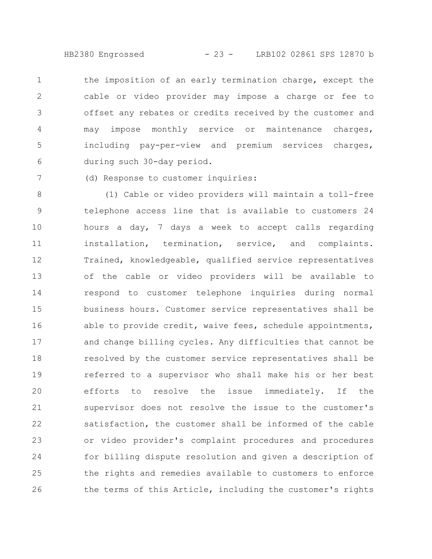HB2380 Engrossed - 23 - LRB102 02861 SPS 12870 b

the imposition of an early termination charge, except the cable or video provider may impose a charge or fee to offset any rebates or credits received by the customer and may impose monthly service or maintenance charges, including pay-per-view and premium services charges, during such 30-day period. 1 2 3 4 5 6

(d) Response to customer inquiries:

7

(1) Cable or video providers will maintain a toll-free telephone access line that is available to customers 24 hours a day, 7 days a week to accept calls regarding installation, termination, service, and complaints. Trained, knowledgeable, qualified service representatives of the cable or video providers will be available to respond to customer telephone inquiries during normal business hours. Customer service representatives shall be able to provide credit, waive fees, schedule appointments, and change billing cycles. Any difficulties that cannot be resolved by the customer service representatives shall be referred to a supervisor who shall make his or her best efforts to resolve the issue immediately. If the supervisor does not resolve the issue to the customer's satisfaction, the customer shall be informed of the cable or video provider's complaint procedures and procedures for billing dispute resolution and given a description of the rights and remedies available to customers to enforce the terms of this Article, including the customer's rights 8 9 10 11 12 13 14 15 16 17 18 19 20 21 22 23 24 25 26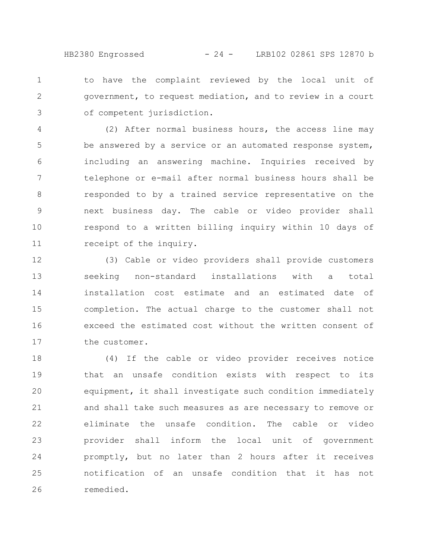to have the complaint reviewed by the local unit of government, to request mediation, and to review in a court of competent jurisdiction. 1 2 3

(2) After normal business hours, the access line may be answered by a service or an automated response system, including an answering machine. Inquiries received by telephone or e-mail after normal business hours shall be responded to by a trained service representative on the next business day. The cable or video provider shall respond to a written billing inquiry within 10 days of receipt of the inquiry. 4 5 6 7 8 9 10 11

(3) Cable or video providers shall provide customers seeking non-standard installations with a total installation cost estimate and an estimated date of completion. The actual charge to the customer shall not exceed the estimated cost without the written consent of the customer. 12 13 14 15 16 17

(4) If the cable or video provider receives notice that an unsafe condition exists with respect to its equipment, it shall investigate such condition immediately and shall take such measures as are necessary to remove or eliminate the unsafe condition. The cable or video provider shall inform the local unit of government promptly, but no later than 2 hours after it receives notification of an unsafe condition that it has not remedied. 18 19 20 21 22 23 24 25 26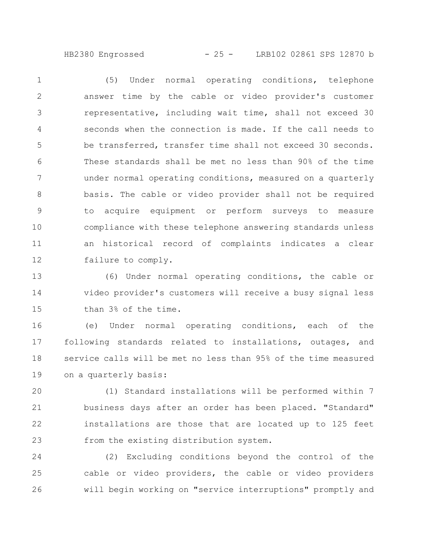HB2380 Engrossed - 25 - LRB102 02861 SPS 12870 b

(5) Under normal operating conditions, telephone answer time by the cable or video provider's customer representative, including wait time, shall not exceed 30 seconds when the connection is made. If the call needs to be transferred, transfer time shall not exceed 30 seconds. These standards shall be met no less than 90% of the time under normal operating conditions, measured on a quarterly basis. The cable or video provider shall not be required to acquire equipment or perform surveys to measure compliance with these telephone answering standards unless an historical record of complaints indicates a clear failure to comply. 1 2 3 4 5 6 7 8 9 10 11 12

(6) Under normal operating conditions, the cable or video provider's customers will receive a busy signal less than 3% of the time. 13 14 15

(e) Under normal operating conditions, each of the following standards related to installations, outages, and service calls will be met no less than 95% of the time measured on a quarterly basis: 16 17 18 19

(1) Standard installations will be performed within 7 business days after an order has been placed. "Standard" installations are those that are located up to 125 feet from the existing distribution system. 20 21 22 23

(2) Excluding conditions beyond the control of the cable or video providers, the cable or video providers will begin working on "service interruptions" promptly and 24 25 26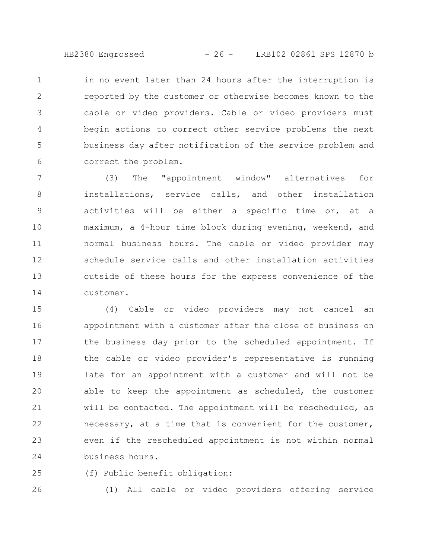HB2380 Engrossed - 26 - LRB102 02861 SPS 12870 b

in no event later than 24 hours after the interruption is reported by the customer or otherwise becomes known to the cable or video providers. Cable or video providers must begin actions to correct other service problems the next business day after notification of the service problem and correct the problem. 1 2 3 4 5 6

(3) The "appointment window" alternatives for installations, service calls, and other installation activities will be either a specific time or, at a maximum, a 4-hour time block during evening, weekend, and normal business hours. The cable or video provider may schedule service calls and other installation activities outside of these hours for the express convenience of the customer. 7 8 9 10 11 12 13 14

(4) Cable or video providers may not cancel an appointment with a customer after the close of business on the business day prior to the scheduled appointment. If the cable or video provider's representative is running late for an appointment with a customer and will not be able to keep the appointment as scheduled, the customer will be contacted. The appointment will be rescheduled, as necessary, at a time that is convenient for the customer, even if the rescheduled appointment is not within normal business hours. 15 16 17 18 19 20 21 22 23 24

(f) Public benefit obligation: 25

26

(1) All cable or video providers offering service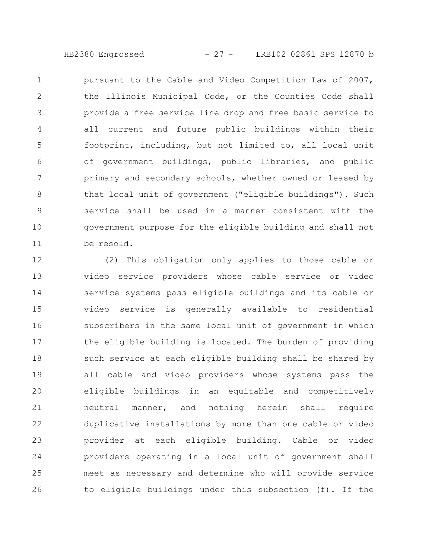HB2380 Engrossed - 27 - LRB102 02861 SPS 12870 b

pursuant to the Cable and Video Competition Law of 2007, the Illinois Municipal Code, or the Counties Code shall provide a free service line drop and free basic service to all current and future public buildings within their footprint, including, but not limited to, all local unit of government buildings, public libraries, and public primary and secondary schools, whether owned or leased by that local unit of government ("eligible buildings"). Such service shall be used in a manner consistent with the government purpose for the eligible building and shall not be resold. 1 2 3 4 5 6 7 8 9 10 11

(2) This obligation only applies to those cable or video service providers whose cable service or video service systems pass eligible buildings and its cable or video service is generally available to residential subscribers in the same local unit of government in which the eligible building is located. The burden of providing such service at each eligible building shall be shared by all cable and video providers whose systems pass the eligible buildings in an equitable and competitively neutral manner, and nothing herein shall require duplicative installations by more than one cable or video provider at each eligible building. Cable or video providers operating in a local unit of government shall meet as necessary and determine who will provide service to eligible buildings under this subsection (f). If the 12 13 14 15 16 17 18 19 20 21 22 23 24 25 26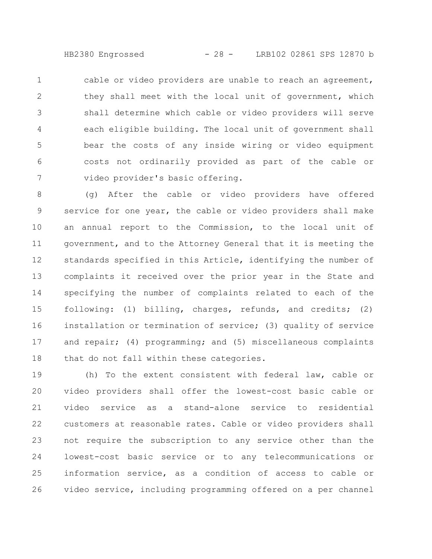HB2380 Engrossed - 28 - LRB102 02861 SPS 12870 b

cable or video providers are unable to reach an agreement, they shall meet with the local unit of government, which shall determine which cable or video providers will serve each eligible building. The local unit of government shall bear the costs of any inside wiring or video equipment costs not ordinarily provided as part of the cable or video provider's basic offering. 1 2 3 4 5 6 7

(g) After the cable or video providers have offered service for one year, the cable or video providers shall make an annual report to the Commission, to the local unit of government, and to the Attorney General that it is meeting the standards specified in this Article, identifying the number of complaints it received over the prior year in the State and specifying the number of complaints related to each of the following: (1) billing, charges, refunds, and credits; (2) installation or termination of service; (3) quality of service and repair; (4) programming; and (5) miscellaneous complaints that do not fall within these categories. 8 9 10 11 12 13 14 15 16 17 18

(h) To the extent consistent with federal law, cable or video providers shall offer the lowest-cost basic cable or video service as a stand-alone service to residential customers at reasonable rates. Cable or video providers shall not require the subscription to any service other than the lowest-cost basic service or to any telecommunications or information service, as a condition of access to cable or video service, including programming offered on a per channel 19 20 21 22 23 24 25 26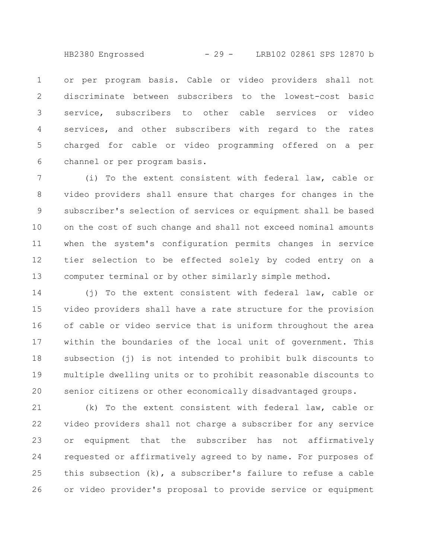HB2380 Engrossed - 29 - LRB102 02861 SPS 12870 b

or per program basis. Cable or video providers shall not discriminate between subscribers to the lowest-cost basic service, subscribers to other cable services or video services, and other subscribers with regard to the rates charged for cable or video programming offered on a per channel or per program basis. 1 2 3 4 5 6

(i) To the extent consistent with federal law, cable or video providers shall ensure that charges for changes in the subscriber's selection of services or equipment shall be based on the cost of such change and shall not exceed nominal amounts when the system's configuration permits changes in service tier selection to be effected solely by coded entry on a computer terminal or by other similarly simple method. 7 8 9 10 11 12 13

(j) To the extent consistent with federal law, cable or video providers shall have a rate structure for the provision of cable or video service that is uniform throughout the area within the boundaries of the local unit of government. This subsection (j) is not intended to prohibit bulk discounts to multiple dwelling units or to prohibit reasonable discounts to senior citizens or other economically disadvantaged groups. 14 15 16 17 18 19 20

(k) To the extent consistent with federal law, cable or video providers shall not charge a subscriber for any service or equipment that the subscriber has not affirmatively requested or affirmatively agreed to by name. For purposes of this subsection (k), a subscriber's failure to refuse a cable or video provider's proposal to provide service or equipment 21 22 23 24 25 26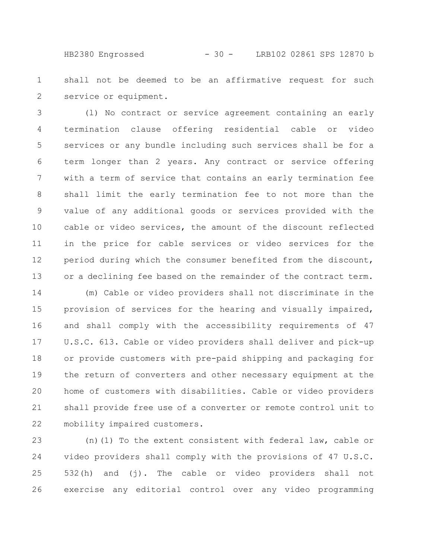HB2380 Engrossed - 30 - LRB102 02861 SPS 12870 b

shall not be deemed to be an affirmative request for such service or equipment. 1 2

(l) No contract or service agreement containing an early termination clause offering residential cable or video services or any bundle including such services shall be for a term longer than 2 years. Any contract or service offering with a term of service that contains an early termination fee shall limit the early termination fee to not more than the value of any additional goods or services provided with the cable or video services, the amount of the discount reflected in the price for cable services or video services for the period during which the consumer benefited from the discount, or a declining fee based on the remainder of the contract term. 3 4 5 6 7 8 9 10 11 12 13

(m) Cable or video providers shall not discriminate in the provision of services for the hearing and visually impaired, and shall comply with the accessibility requirements of 47 U.S.C. 613. Cable or video providers shall deliver and pick-up or provide customers with pre-paid shipping and packaging for the return of converters and other necessary equipment at the home of customers with disabilities. Cable or video providers shall provide free use of a converter or remote control unit to mobility impaired customers. 14 15 16 17 18 19 20 21 22

(n)(1) To the extent consistent with federal law, cable or video providers shall comply with the provisions of 47 U.S.C. 532(h) and (j). The cable or video providers shall not exercise any editorial control over any video programming 23 24 25 26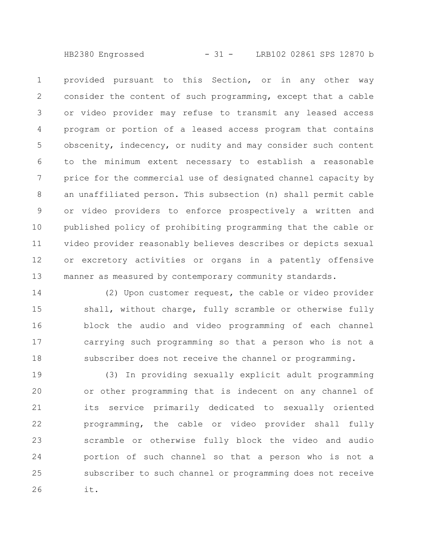HB2380 Engrossed - 31 - LRB102 02861 SPS 12870 b

provided pursuant to this Section, or in any other way consider the content of such programming, except that a cable or video provider may refuse to transmit any leased access program or portion of a leased access program that contains obscenity, indecency, or nudity and may consider such content to the minimum extent necessary to establish a reasonable price for the commercial use of designated channel capacity by an unaffiliated person. This subsection (n) shall permit cable or video providers to enforce prospectively a written and published policy of prohibiting programming that the cable or video provider reasonably believes describes or depicts sexual or excretory activities or organs in a patently offensive manner as measured by contemporary community standards. 1 2 3 4 5 6 7 8 9 10 11 12 13

(2) Upon customer request, the cable or video provider shall, without charge, fully scramble or otherwise fully block the audio and video programming of each channel carrying such programming so that a person who is not a subscriber does not receive the channel or programming. 14 15 16 17 18

(3) In providing sexually explicit adult programming or other programming that is indecent on any channel of its service primarily dedicated to sexually oriented programming, the cable or video provider shall fully scramble or otherwise fully block the video and audio portion of such channel so that a person who is not a subscriber to such channel or programming does not receive it. 19 20 21 22 23 24 25 26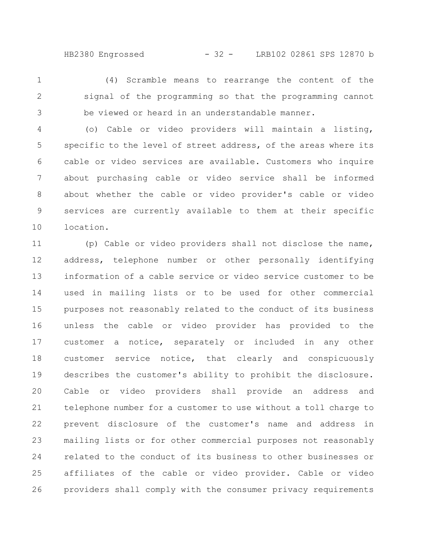HB2380 Engrossed - 32 - LRB102 02861 SPS 12870 b

(4) Scramble means to rearrange the content of the signal of the programming so that the programming cannot be viewed or heard in an understandable manner. 1 2 3

(o) Cable or video providers will maintain a listing, specific to the level of street address, of the areas where its cable or video services are available. Customers who inquire about purchasing cable or video service shall be informed about whether the cable or video provider's cable or video services are currently available to them at their specific location. 4 5 6 7 8 9 10

(p) Cable or video providers shall not disclose the name, address, telephone number or other personally identifying information of a cable service or video service customer to be used in mailing lists or to be used for other commercial purposes not reasonably related to the conduct of its business unless the cable or video provider has provided to the customer a notice, separately or included in any other customer service notice, that clearly and conspicuously describes the customer's ability to prohibit the disclosure. Cable or video providers shall provide an address and telephone number for a customer to use without a toll charge to prevent disclosure of the customer's name and address in mailing lists or for other commercial purposes not reasonably related to the conduct of its business to other businesses or affiliates of the cable or video provider. Cable or video providers shall comply with the consumer privacy requirements 11 12 13 14 15 16 17 18 19 20 21 22 23 24 25 26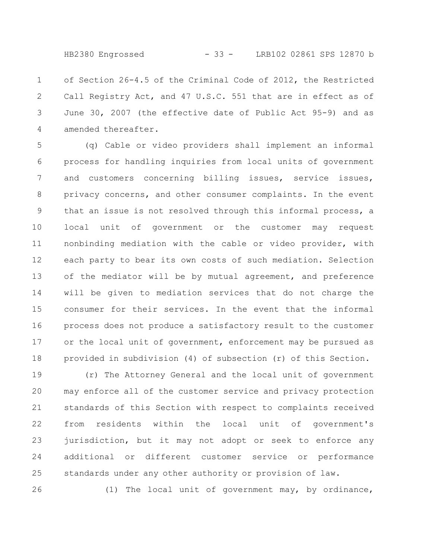HB2380 Engrossed - 33 - LRB102 02861 SPS 12870 b

of Section 26-4.5 of the Criminal Code of 2012, the Restricted Call Registry Act, and 47 U.S.C. 551 that are in effect as of June 30, 2007 (the effective date of Public Act 95-9) and as amended thereafter. 1 2 3 4

(q) Cable or video providers shall implement an informal process for handling inquiries from local units of government and customers concerning billing issues, service issues, privacy concerns, and other consumer complaints. In the event that an issue is not resolved through this informal process, a local unit of government or the customer may request nonbinding mediation with the cable or video provider, with each party to bear its own costs of such mediation. Selection of the mediator will be by mutual agreement, and preference will be given to mediation services that do not charge the consumer for their services. In the event that the informal process does not produce a satisfactory result to the customer or the local unit of government, enforcement may be pursued as provided in subdivision (4) of subsection (r) of this Section. 5 6 7 8 9 10 11 12 13 14 15 16 17 18

(r) The Attorney General and the local unit of government may enforce all of the customer service and privacy protection standards of this Section with respect to complaints received from residents within the local unit of government's jurisdiction, but it may not adopt or seek to enforce any additional or different customer service or performance standards under any other authority or provision of law. 19 20 21 22 23 24 25

26

(1) The local unit of government may, by ordinance,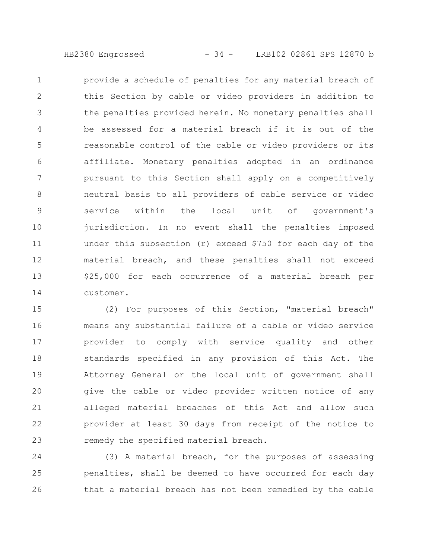HB2380 Engrossed - 34 - LRB102 02861 SPS 12870 b

provide a schedule of penalties for any material breach of this Section by cable or video providers in addition to the penalties provided herein. No monetary penalties shall be assessed for a material breach if it is out of the reasonable control of the cable or video providers or its affiliate. Monetary penalties adopted in an ordinance pursuant to this Section shall apply on a competitively neutral basis to all providers of cable service or video service within the local unit of government's jurisdiction. In no event shall the penalties imposed under this subsection (r) exceed \$750 for each day of the material breach, and these penalties shall not exceed \$25,000 for each occurrence of a material breach per customer. 1 2 3 4 5 6 7 8 9 10 11 12 13 14

(2) For purposes of this Section, "material breach" means any substantial failure of a cable or video service provider to comply with service quality and other standards specified in any provision of this Act. The Attorney General or the local unit of government shall give the cable or video provider written notice of any alleged material breaches of this Act and allow such provider at least 30 days from receipt of the notice to remedy the specified material breach. 15 16 17 18 19 20 21 22 23

(3) A material breach, for the purposes of assessing penalties, shall be deemed to have occurred for each day that a material breach has not been remedied by the cable 24 25 26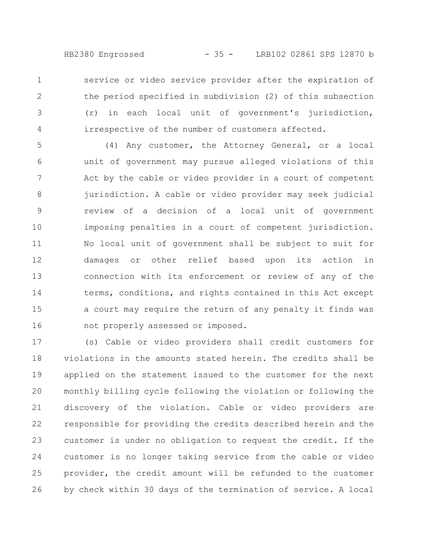HB2380 Engrossed - 35 - LRB102 02861 SPS 12870 b

service or video service provider after the expiration of the period specified in subdivision (2) of this subsection (r) in each local unit of government's jurisdiction, irrespective of the number of customers affected. 1 2 3 4

(4) Any customer, the Attorney General, or a local unit of government may pursue alleged violations of this Act by the cable or video provider in a court of competent jurisdiction. A cable or video provider may seek judicial review of a decision of a local unit of government imposing penalties in a court of competent jurisdiction. No local unit of government shall be subject to suit for damages or other relief based upon its action in connection with its enforcement or review of any of the terms, conditions, and rights contained in this Act except a court may require the return of any penalty it finds was not properly assessed or imposed. 5 6 7 8 9 10 11 12 13 14 15 16

(s) Cable or video providers shall credit customers for violations in the amounts stated herein. The credits shall be applied on the statement issued to the customer for the next monthly billing cycle following the violation or following the discovery of the violation. Cable or video providers are responsible for providing the credits described herein and the customer is under no obligation to request the credit. If the customer is no longer taking service from the cable or video provider, the credit amount will be refunded to the customer by check within 30 days of the termination of service. A local 17 18 19 20 21 22 23 24 25 26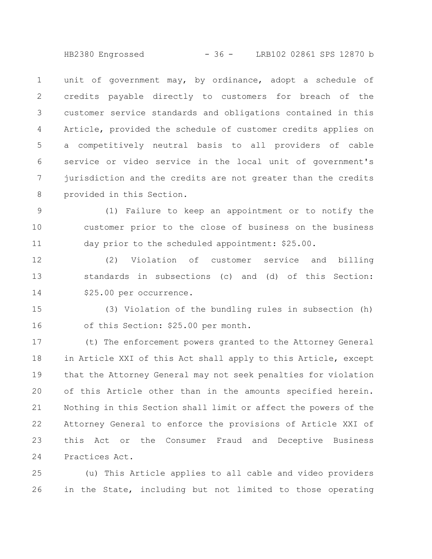HB2380 Engrossed - 36 - LRB102 02861 SPS 12870 b

unit of government may, by ordinance, adopt a schedule of credits payable directly to customers for breach of the customer service standards and obligations contained in this Article, provided the schedule of customer credits applies on a competitively neutral basis to all providers of cable service or video service in the local unit of government's jurisdiction and the credits are not greater than the credits provided in this Section. 1 2 3 4 5 6 7 8

(1) Failure to keep an appointment or to notify the customer prior to the close of business on the business day prior to the scheduled appointment: \$25.00. 9 10 11

(2) Violation of customer service and billing standards in subsections (c) and (d) of this Section: \$25.00 per occurrence. 12 13 14

(3) Violation of the bundling rules in subsection (h) of this Section: \$25.00 per month. 15 16

(t) The enforcement powers granted to the Attorney General in Article XXI of this Act shall apply to this Article, except that the Attorney General may not seek penalties for violation of this Article other than in the amounts specified herein. Nothing in this Section shall limit or affect the powers of the Attorney General to enforce the provisions of Article XXI of this Act or the Consumer Fraud and Deceptive Business Practices Act. 17 18 19 20 21 22 23 24

(u) This Article applies to all cable and video providers in the State, including but not limited to those operating 25 26